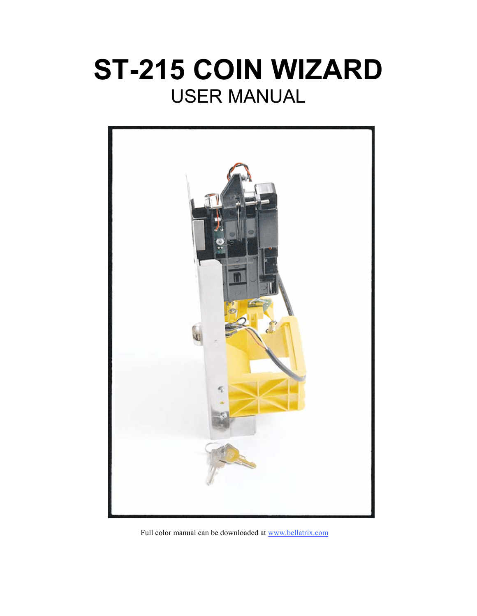# **ST-215 COIN WIZARD**  USER MANUAL



Full color manual can be downloaded at www.bellatrix.com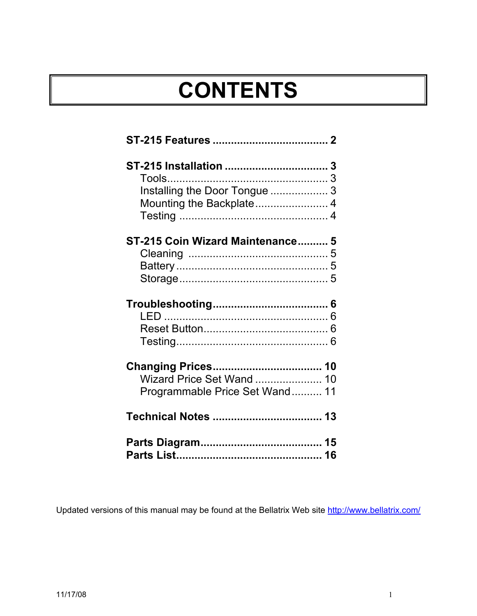# **CONTENTS**

| Installing the Door Tongue  3    |  |
|----------------------------------|--|
|                                  |  |
|                                  |  |
|                                  |  |
|                                  |  |
|                                  |  |
| ST-215 Coin Wizard Maintenance 5 |  |
|                                  |  |
|                                  |  |
|                                  |  |
|                                  |  |
|                                  |  |
|                                  |  |
|                                  |  |
|                                  |  |
| Wizard Price Set Wand  10        |  |
| Programmable Price Set Wand 11   |  |
|                                  |  |
|                                  |  |

Updated versions of this manual may be found at the Bellatrix Web site http://www.bellatrix.com/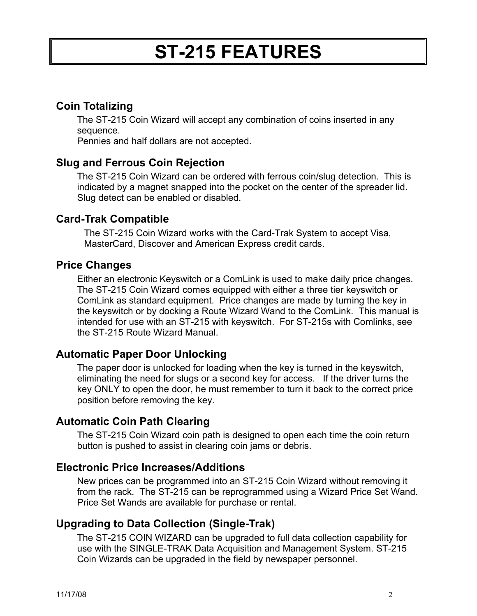## **ST-215 FEATURES**

## **Coin Totalizing**

The ST-215 Coin Wizard will accept any combination of coins inserted in any sequence.

Pennies and half dollars are not accepted.

#### **Slug and Ferrous Coin Rejection**

The ST-215 Coin Wizard can be ordered with ferrous coin/slug detection. This is indicated by a magnet snapped into the pocket on the center of the spreader lid. Slug detect can be enabled or disabled.

#### **Card-Trak Compatible**

The ST-215 Coin Wizard works with the Card-Trak System to accept Visa, MasterCard, Discover and American Express credit cards.

#### **Price Changes**

Either an electronic Keyswitch or a ComLink is used to make daily price changes. The ST-215 Coin Wizard comes equipped with either a three tier keyswitch or ComLink as standard equipment. Price changes are made by turning the key in the keyswitch or by docking a Route Wizard Wand to the ComLink. This manual is intended for use with an ST-215 with keyswitch. For ST-215s with Comlinks, see the ST-215 Route Wizard Manual.

## **Automatic Paper Door Unlocking**

The paper door is unlocked for loading when the key is turned in the keyswitch, eliminating the need for slugs or a second key for access. If the driver turns the key ONLY to open the door, he must remember to turn it back to the correct price position before removing the key.

## **Automatic Coin Path Clearing**

The ST-215 Coin Wizard coin path is designed to open each time the coin return button is pushed to assist in clearing coin jams or debris.

#### **Electronic Price Increases/Additions**

New prices can be programmed into an ST-215 Coin Wizard without removing it from the rack. The ST-215 can be reprogrammed using a Wizard Price Set Wand. Price Set Wands are available for purchase or rental.

#### **Upgrading to Data Collection (Single-Trak)**

The ST-215 COIN WIZARD can be upgraded to full data collection capability for use with the SINGLE-TRAK Data Acquisition and Management System. ST-215 Coin Wizards can be upgraded in the field by newspaper personnel.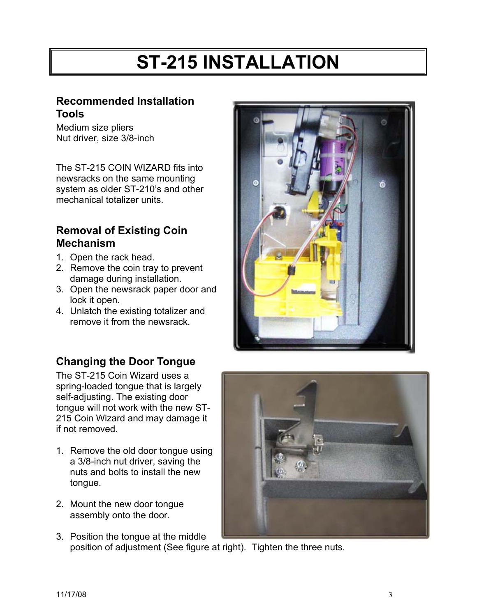## **ST-215 INSTALLATION**

#### **Recommended Installation Tools**

Medium size pliers Nut driver, size 3/8-inch

The ST-215 COIN WIZARD fits into newsracks on the same mounting system as older ST-210's and other mechanical totalizer units.

## **Removal of Existing Coin Mechanism**

- 1. Open the rack head.
- 2. Remove the coin tray to prevent damage during installation.
- 3. Open the newsrack paper door and lock it open.
- 4. Unlatch the existing totalizer and remove it from the newsrack.



## **Changing the Door Tongue**

The ST-215 Coin Wizard uses a spring-loaded tongue that is largely self-adjusting. The existing door tongue will not work with the new ST-215 Coin Wizard and may damage it if not removed.

- 1. Remove the old door tongue using a 3/8-inch nut driver, saving the nuts and bolts to install the new tongue.
- 2. Mount the new door tongue assembly onto the door.
- 3. Position the tongue at the middle position of adjustment (See figure at right). Tighten the three nuts.

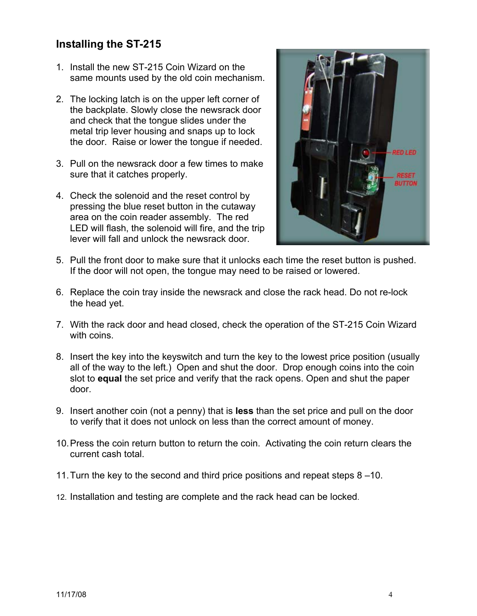## **Installing the ST-215**

- 1. Install the new ST-215 Coin Wizard on the same mounts used by the old coin mechanism.
- 2. The locking latch is on the upper left corner of the backplate. Slowly close the newsrack door and check that the tongue slides under the metal trip lever housing and snaps up to lock the door. Raise or lower the tongue if needed.
- 3. Pull on the newsrack door a few times to make sure that it catches properly.
- 4. Check the solenoid and the reset control by pressing the blue reset button in the cutaway area on the coin reader assembly. The red LED will flash, the solenoid will fire, and the trip lever will fall and unlock the newsrack door.



- 5. Pull the front door to make sure that it unlocks each time the reset button is pushed. If the door will not open, the tongue may need to be raised or lowered.
- 6. Replace the coin tray inside the newsrack and close the rack head. Do not re-lock the head yet.
- 7. With the rack door and head closed, check the operation of the ST-215 Coin Wizard with coins.
- 8. Insert the key into the keyswitch and turn the key to the lowest price position (usually all of the way to the left.) Open and shut the door. Drop enough coins into the coin slot to **equal** the set price and verify that the rack opens. Open and shut the paper door.
- 9. Insert another coin (not a penny) that is **less** than the set price and pull on the door to verify that it does not unlock on less than the correct amount of money.
- 10. Press the coin return button to return the coin. Activating the coin return clears the current cash total.
- 11. Turn the key to the second and third price positions and repeat steps 8 –10.
- 12. Installation and testing are complete and the rack head can be locked.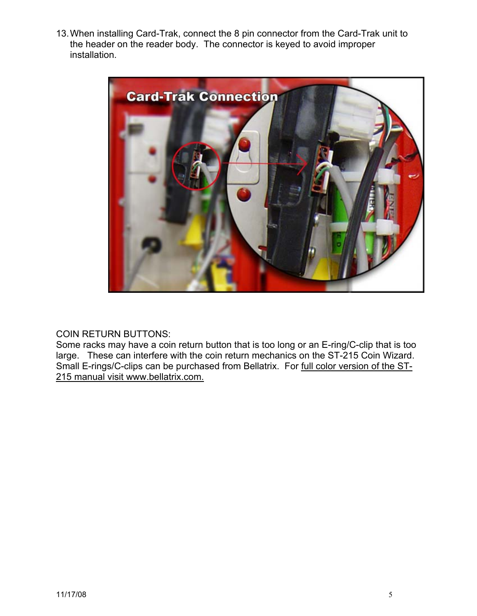13. When installing Card-Trak, connect the 8 pin connector from the Card-Trak unit to the header on the reader body. The connector is keyed to avoid improper installation.



#### COIN RETURN BUTTONS:

Some racks may have a coin return button that is too long or an E-ring/C-clip that is too large. These can interfere with the coin return mechanics on the ST-215 Coin Wizard. Small E-rings/C-clips can be purchased from Bellatrix. For full color version of the ST-215 manual visit www.bellatrix.com.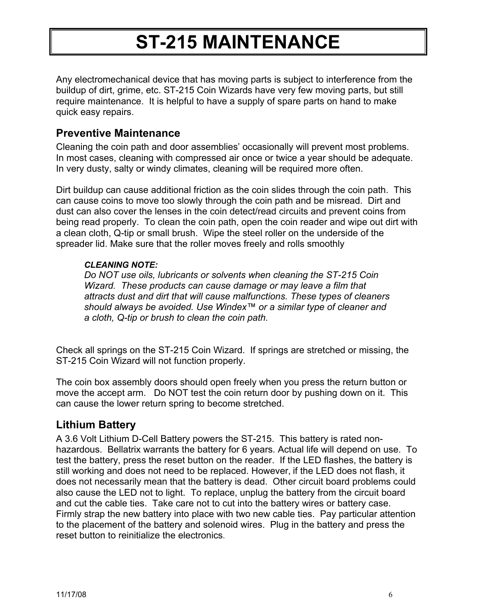## **ST-215 MAINTENANCE**

Any electromechanical device that has moving parts is subject to interference from the buildup of dirt, grime, etc. ST-215 Coin Wizards have very few moving parts, but still require maintenance. It is helpful to have a supply of spare parts on hand to make quick easy repairs.

### **Preventive Maintenance**

Cleaning the coin path and door assemblies' occasionally will prevent most problems. In most cases, cleaning with compressed air once or twice a year should be adequate. In very dusty, salty or windy climates, cleaning will be required more often.

Dirt buildup can cause additional friction as the coin slides through the coin path. This can cause coins to move too slowly through the coin path and be misread. Dirt and dust can also cover the lenses in the coin detect/read circuits and prevent coins from being read properly. To clean the coin path, open the coin reader and wipe out dirt with a clean cloth, Q-tip or small brush. Wipe the steel roller on the underside of the spreader lid. Make sure that the roller moves freely and rolls smoothly

#### *CLEANING NOTE:*

*Do NOT use oils, lubricants or solvents when cleaning the ST-215 Coin Wizard. These products can cause damage or may leave a film that attracts dust and dirt that will cause malfunctions. These types of cleaners should always be avoided. Use Windex™ or a similar type of cleaner and a cloth, Q-tip or brush to clean the coin path.* 

Check all springs on the ST-215 Coin Wizard. If springs are stretched or missing, the ST-215 Coin Wizard will not function properly.

The coin box assembly doors should open freely when you press the return button or move the accept arm. Do NOT test the coin return door by pushing down on it. This can cause the lower return spring to become stretched.

## **Lithium Battery**

A 3.6 Volt Lithium D-Cell Battery powers the ST-215. This battery is rated nonhazardous. Bellatrix warrants the battery for 6 years. Actual life will depend on use. To test the battery, press the reset button on the reader. If the LED flashes, the battery is still working and does not need to be replaced. However, if the LED does not flash, it does not necessarily mean that the battery is dead. Other circuit board problems could also cause the LED not to light. To replace, unplug the battery from the circuit board and cut the cable ties. Take care not to cut into the battery wires or battery case. Firmly strap the new battery into place with two new cable ties. Pay particular attention to the placement of the battery and solenoid wires. Plug in the battery and press the reset button to reinitialize the electronics.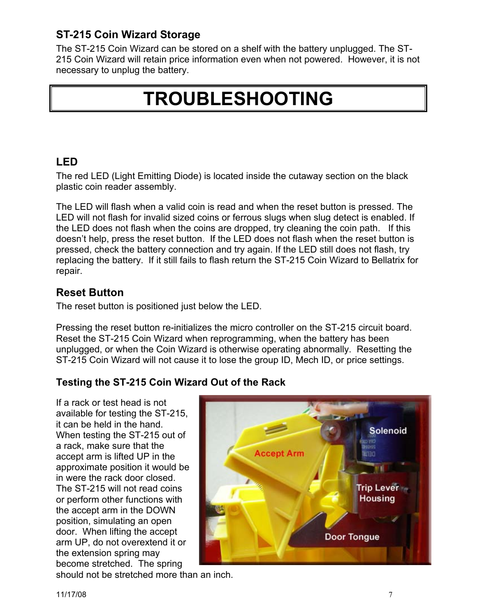## **ST-215 Coin Wizard Storage**

The ST-215 Coin Wizard can be stored on a shelf with the battery unplugged. The ST-215 Coin Wizard will retain price information even when not powered. However, it is not necessary to unplug the battery.

## **TROUBLESHOOTING**

## **LED**

The red LED (Light Emitting Diode) is located inside the cutaway section on the black plastic coin reader assembly.

The LED will flash when a valid coin is read and when the reset button is pressed. The LED will not flash for invalid sized coins or ferrous slugs when slug detect is enabled. If the LED does not flash when the coins are dropped, try cleaning the coin path. If this doesn't help, press the reset button. If the LED does not flash when the reset button is pressed, check the battery connection and try again. If the LED still does not flash, try replacing the battery. If it still fails to flash return the ST-215 Coin Wizard to Bellatrix for repair.

## **Reset Button**

The reset button is positioned just below the LED.

Pressing the reset button re-initializes the micro controller on the ST-215 circuit board. Reset the ST-215 Coin Wizard when reprogramming, when the battery has been unplugged, or when the Coin Wizard is otherwise operating abnormally. Resetting the ST-215 Coin Wizard will not cause it to lose the group ID, Mech ID, or price settings.

#### **Testing the ST-215 Coin Wizard Out of the Rack**

If a rack or test head is not available for testing the ST-215, it can be held in the hand. When testing the ST-215 out of a rack, make sure that the accept arm is lifted UP in the approximate position it would be in were the rack door closed. The ST-215 will not read coins or perform other functions with the accept arm in the DOWN position, simulating an open door. When lifting the accept arm UP, do not overextend it or the extension spring may become stretched. The spring

should not be stretched more than an inch.

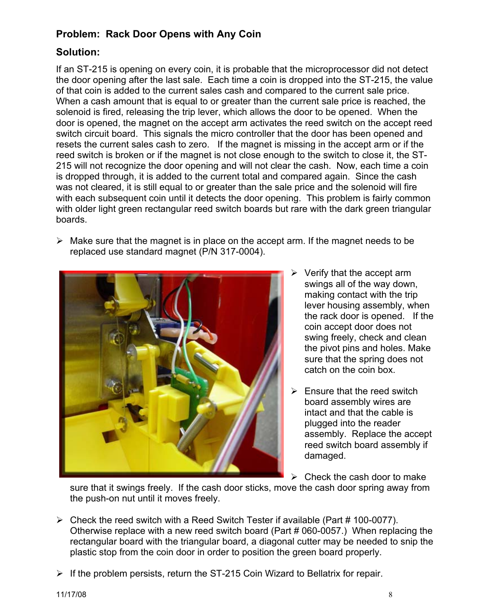### **Problem: Rack Door Opens with Any Coin**

#### **Solution:**

If an ST-215 is opening on every coin, it is probable that the microprocessor did not detect the door opening after the last sale. Each time a coin is dropped into the ST-215, the value of that coin is added to the current sales cash and compared to the current sale price. When a cash amount that is equal to or greater than the current sale price is reached, the solenoid is fired, releasing the trip lever, which allows the door to be opened. When the door is opened, the magnet on the accept arm activates the reed switch on the accept reed switch circuit board. This signals the micro controller that the door has been opened and resets the current sales cash to zero. If the magnet is missing in the accept arm or if the reed switch is broken or if the magnet is not close enough to the switch to close it, the ST-215 will not recognize the door opening and will not clear the cash. Now, each time a coin is dropped through, it is added to the current total and compared again. Since the cash was not cleared, it is still equal to or greater than the sale price and the solenoid will fire with each subsequent coin until it detects the door opening. This problem is fairly common with older light green rectangular reed switch boards but rare with the dark green triangular boards.

 $\triangleright$  Make sure that the magnet is in place on the accept arm. If the magnet needs to be replaced use standard magnet (P/N 317-0004).



- $\triangleright$  Verify that the accept arm swings all of the way down, making contact with the trip lever housing assembly, when the rack door is opened. If the coin accept door does not swing freely, check and clean the pivot pins and holes. Make sure that the spring does not catch on the coin box.
- $\triangleright$  Ensure that the reed switch board assembly wires are intact and that the cable is plugged into the reader assembly. Replace the accept reed switch board assembly if damaged.
- $\triangleright$  Check the cash door to make

sure that it swings freely. If the cash door sticks, move the cash door spring away from the push-on nut until it moves freely.

- $\triangleright$  Check the reed switch with a Reed Switch Tester if available (Part # 100-0077). Otherwise replace with a new reed switch board (Part # 060-0057.) When replacing the rectangular board with the triangular board, a diagonal cutter may be needed to snip the plastic stop from the coin door in order to position the green board properly.
- $\triangleright$  If the problem persists, return the ST-215 Coin Wizard to Bellatrix for repair.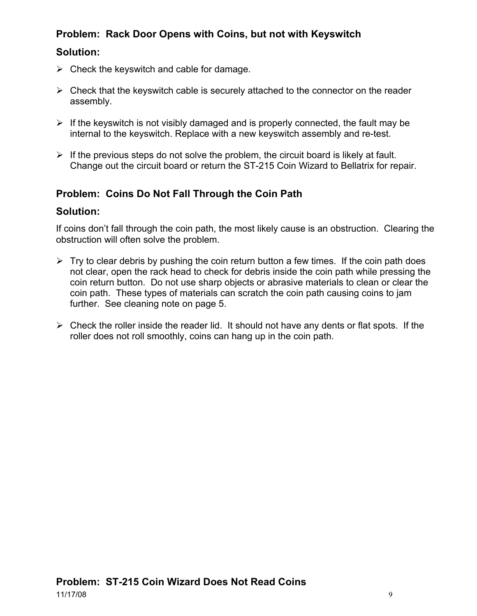## **Problem: Rack Door Opens with Coins, but not with Keyswitch**

#### **Solution:**

- $\triangleright$  Check the keyswitch and cable for damage.
- $\triangleright$  Check that the keyswitch cable is securely attached to the connector on the reader assembly.
- $\triangleright$  If the keyswitch is not visibly damaged and is properly connected, the fault may be internal to the keyswitch. Replace with a new keyswitch assembly and re-test.
- $\triangleright$  If the previous steps do not solve the problem, the circuit board is likely at fault. Change out the circuit board or return the ST-215 Coin Wizard to Bellatrix for repair.

## **Problem: Coins Do Not Fall Through the Coin Path**

#### **Solution:**

If coins don't fall through the coin path, the most likely cause is an obstruction. Clearing the obstruction will often solve the problem.

- $\triangleright$  Try to clear debris by pushing the coin return button a few times. If the coin path does not clear, open the rack head to check for debris inside the coin path while pressing the coin return button. Do not use sharp objects or abrasive materials to clean or clear the coin path. These types of materials can scratch the coin path causing coins to jam further. See cleaning note on page 5.
- $\triangleright$  Check the roller inside the reader lid. It should not have any dents or flat spots. If the roller does not roll smoothly, coins can hang up in the coin path.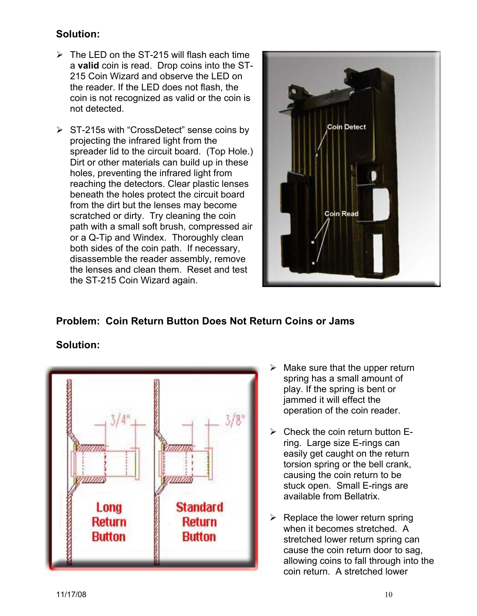#### **Solution:**

- $\triangleright$  The LED on the ST-215 will flash each time a **valid** coin is read. Drop coins into the ST-215 Coin Wizard and observe the LED on the reader. If the LED does not flash, the coin is not recognized as valid or the coin is not detected.
- $\triangleright$  ST-215s with "CrossDetect" sense coins by projecting the infrared light from the spreader lid to the circuit board. (Top Hole.) Dirt or other materials can build up in these holes, preventing the infrared light from reaching the detectors. Clear plastic lenses beneath the holes protect the circuit board from the dirt but the lenses may become scratched or dirty. Try cleaning the coin path with a small soft brush, compressed air or a Q-Tip and Windex. Thoroughly clean both sides of the coin path. If necessary, disassemble the reader assembly, remove the lenses and clean them. Reset and test the ST-215 Coin Wizard again.



## **Problem: Coin Return Button Does Not Return Coins or Jams**

## **Solution:**



- $\triangleright$  Make sure that the upper return spring has a small amount of play. If the spring is bent or jammed it will effect the operation of the coin reader.
- $\triangleright$  Check the coin return button Ering. Large size E-rings can easily get caught on the return torsion spring or the bell crank, causing the coin return to be stuck open. Small E-rings are available from Bellatrix.
- $\triangleright$  Replace the lower return spring when it becomes stretched. A stretched lower return spring can cause the coin return door to sag, allowing coins to fall through into the coin return. A stretched lower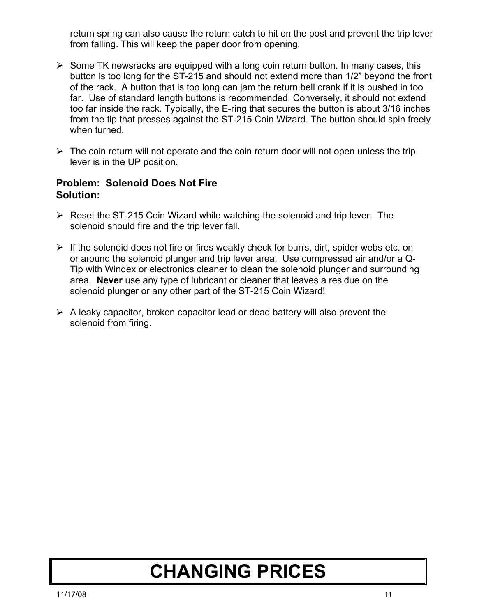return spring can also cause the return catch to hit on the post and prevent the trip lever from falling. This will keep the paper door from opening.

- $\triangleright$  Some TK newsracks are equipped with a long coin return button. In many cases, this button is too long for the ST-215 and should not extend more than 1/2" beyond the front of the rack. A button that is too long can jam the return bell crank if it is pushed in too far. Use of standard length buttons is recommended. Conversely, it should not extend too far inside the rack. Typically, the E-ring that secures the button is about 3/16 inches from the tip that presses against the ST-215 Coin Wizard. The button should spin freely when turned.
- $\triangleright$  The coin return will not operate and the coin return door will not open unless the trip lever is in the UP position.

#### **Problem: Solenoid Does Not Fire Solution:**

- $\triangleright$  Reset the ST-215 Coin Wizard while watching the solenoid and trip lever. The solenoid should fire and the trip lever fall.
- $\triangleright$  If the solenoid does not fire or fires weakly check for burrs, dirt, spider webs etc. on or around the solenoid plunger and trip lever area. Use compressed air and/or a Q-Tip with Windex or electronics cleaner to clean the solenoid plunger and surrounding area. **Never** use any type of lubricant or cleaner that leaves a residue on the solenoid plunger or any other part of the ST-215 Coin Wizard!
- $\triangleright$  A leaky capacitor, broken capacitor lead or dead battery will also prevent the solenoid from firing.

## **CHANGING PRICES**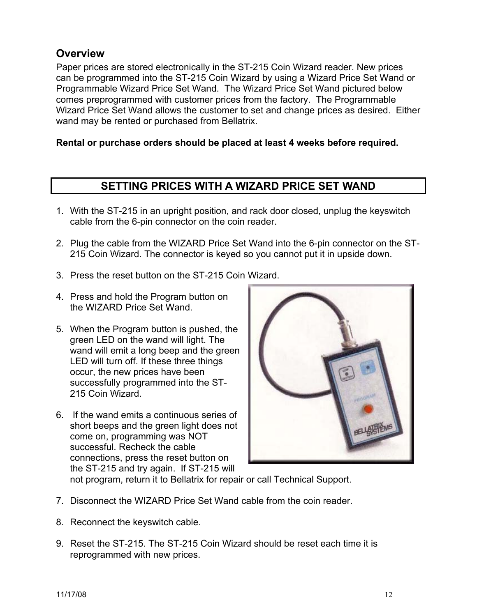## **Overview**

Paper prices are stored electronically in the ST-215 Coin Wizard reader. New prices can be programmed into the ST-215 Coin Wizard by using a Wizard Price Set Wand or Programmable Wizard Price Set Wand. The Wizard Price Set Wand pictured below comes preprogrammed with customer prices from the factory. The Programmable Wizard Price Set Wand allows the customer to set and change prices as desired. Either wand may be rented or purchased from Bellatrix.

#### **Rental or purchase orders should be placed at least 4 weeks before required.**

#### **SETTING PRICES WITH A WIZARD PRICE SET WAND**

- 1. With the ST-215 in an upright position, and rack door closed, unplug the keyswitch cable from the 6-pin connector on the coin reader.
- 2. Plug the cable from the WIZARD Price Set Wand into the 6-pin connector on the ST-215 Coin Wizard. The connector is keyed so you cannot put it in upside down.
- 3. Press the reset button on the ST-215 Coin Wizard.
- 4. Press and hold the Program button on the WIZARD Price Set Wand.
- 5. When the Program button is pushed, the green LED on the wand will light. The wand will emit a long beep and the green LED will turn off. If these three things occur, the new prices have been successfully programmed into the ST-215 Coin Wizard.
- 6. If the wand emits a continuous series of short beeps and the green light does not come on, programming was NOT successful. Recheck the cable connections, press the reset button on the ST-215 and try again. If ST-215 will



not program, return it to Bellatrix for repair or call Technical Support.

- 7. Disconnect the WIZARD Price Set Wand cable from the coin reader.
- 8. Reconnect the keyswitch cable.
- 9. Reset the ST-215. The ST-215 Coin Wizard should be reset each time it is reprogrammed with new prices.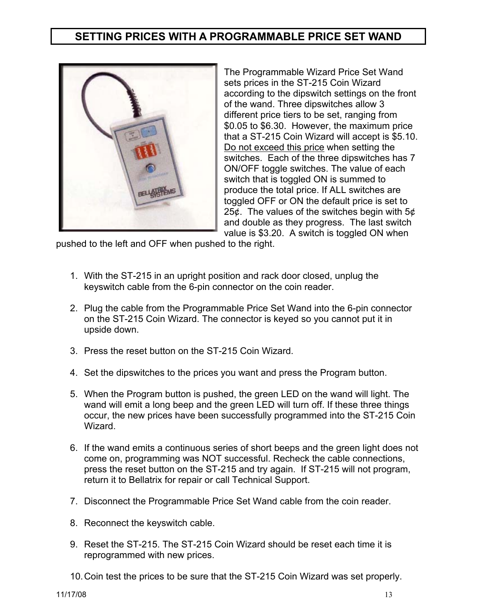## **SETTING PRICES WITH A PROGRAMMABLE PRICE SET WAND**



The Programmable Wizard Price Set Wand sets prices in the ST-215 Coin Wizard according to the dipswitch settings on the front of the wand. Three dipswitches allow 3 different price tiers to be set, ranging from \$0.05 to \$6.30. However, the maximum price that a ST-215 Coin Wizard will accept is \$5.10. Do not exceed this price when setting the switches. Each of the three dipswitches has 7 ON/OFF toggle switches. The value of each switch that is toggled ON is summed to produce the total price. If ALL switches are toggled OFF or ON the default price is set to 25¢. The values of the switches begin with 5¢ and double as they progress. The last switch value is \$3.20. A switch is toggled ON when

pushed to the left and OFF when pushed to the right.

- 1. With the ST-215 in an upright position and rack door closed, unplug the keyswitch cable from the 6-pin connector on the coin reader.
- 2. Plug the cable from the Programmable Price Set Wand into the 6-pin connector on the ST-215 Coin Wizard. The connector is keyed so you cannot put it in upside down.
- 3. Press the reset button on the ST-215 Coin Wizard.
- 4. Set the dipswitches to the prices you want and press the Program button.
- 5. When the Program button is pushed, the green LED on the wand will light. The wand will emit a long beep and the green LED will turn off. If these three things occur, the new prices have been successfully programmed into the ST-215 Coin **Wizard**
- 6. If the wand emits a continuous series of short beeps and the green light does not come on, programming was NOT successful. Recheck the cable connections, press the reset button on the ST-215 and try again. If ST-215 will not program, return it to Bellatrix for repair or call Technical Support.
- 7. Disconnect the Programmable Price Set Wand cable from the coin reader.
- 8. Reconnect the keyswitch cable.
- 9. Reset the ST-215. The ST-215 Coin Wizard should be reset each time it is reprogrammed with new prices.
- 10. Coin test the prices to be sure that the ST-215 Coin Wizard was set properly.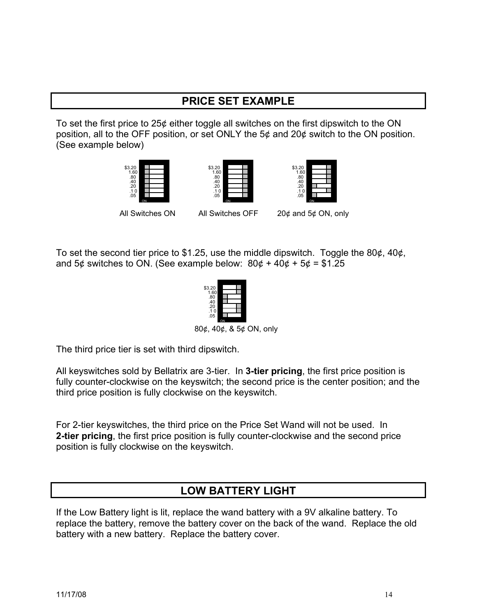## **PRICE SET EXAMPLE**

To set the first price to 25¢ either toggle all switches on the first dipswitch to the ON position, all to the OFF position, or set ONLY the 5¢ and 20¢ switch to the ON position. (See example below)







All Switches ON All Switches OFF 20¢ and 5¢ ON, only

To set the second tier price to \$1.25, use the middle dipswitch. Toggle the 80 $\phi$ , 40 $\phi$ , and 5¢ switches to ON. (See example below:  $80¢ + 40¢ + 5¢ = $1.25$ 



80¢, 40¢, & 5¢ ON, only

The third price tier is set with third dipswitch.

All keyswitches sold by Bellatrix are 3-tier. In **3-tier pricing**, the first price position is fully counter-clockwise on the keyswitch; the second price is the center position; and the third price position is fully clockwise on the keyswitch.

For 2-tier keyswitches, the third price on the Price Set Wand will not be used. In **2-tier pricing**, the first price position is fully counter-clockwise and the second price position is fully clockwise on the keyswitch.

## **LOW BATTERY LIGHT**

If the Low Battery light is lit, replace the wand battery with a 9V alkaline battery. To replace the battery, remove the battery cover on the back of the wand. Replace the old battery with a new battery. Replace the battery cover.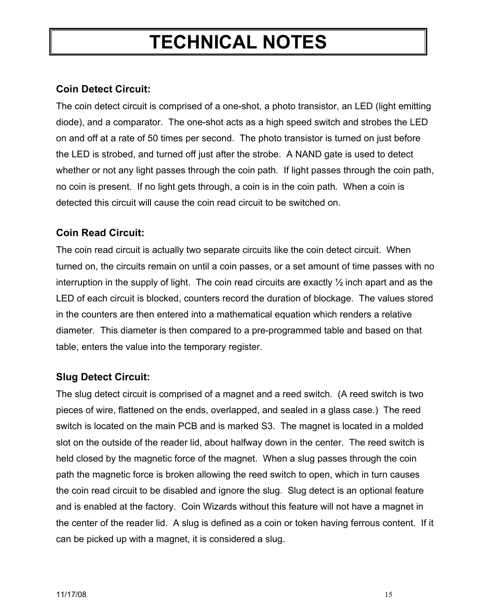## **TECHNICAL NOTES**

## **Coin Detect Circuit:**

The coin detect circuit is comprised of a one-shot, a photo transistor, an LED (light emitting diode), and a comparator. The one-shot acts as a high speed switch and strobes the LED on and off at a rate of 50 times per second. The photo transistor is turned on just before the LED is strobed, and turned off just after the strobe. A NAND gate is used to detect whether or not any light passes through the coin path. If light passes through the coin path, no coin is present. If no light gets through, a coin is in the coin path. When a coin is detected this circuit will cause the coin read circuit to be switched on.

## **Coin Read Circuit:**

The coin read circuit is actually two separate circuits like the coin detect circuit. When turned on, the circuits remain on until a coin passes, or a set amount of time passes with no interruption in the supply of light. The coin read circuits are exactly ½ inch apart and as the LED of each circuit is blocked, counters record the duration of blockage. The values stored in the counters are then entered into a mathematical equation which renders a relative diameter. This diameter is then compared to a pre-programmed table and based on that table, enters the value into the temporary register.

## **Slug Detect Circuit:**

The slug detect circuit is comprised of a magnet and a reed switch. (A reed switch is two pieces of wire, flattened on the ends, overlapped, and sealed in a glass case.) The reed switch is located on the main PCB and is marked S3. The magnet is located in a molded slot on the outside of the reader lid, about halfway down in the center. The reed switch is held closed by the magnetic force of the magnet. When a slug passes through the coin path the magnetic force is broken allowing the reed switch to open, which in turn causes the coin read circuit to be disabled and ignore the slug. Slug detect is an optional feature and is enabled at the factory. Coin Wizards without this feature will not have a magnet in the center of the reader lid. A slug is defined as a coin or token having ferrous content. If it can be picked up with a magnet, it is considered a slug.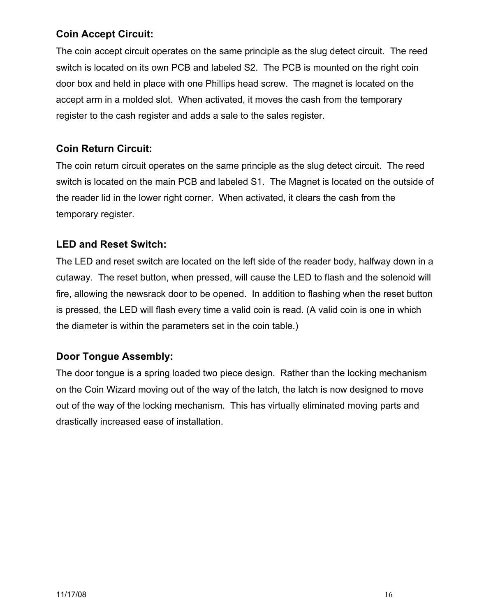#### **Coin Accept Circuit:**

The coin accept circuit operates on the same principle as the slug detect circuit. The reed switch is located on its own PCB and labeled S2. The PCB is mounted on the right coin door box and held in place with one Phillips head screw. The magnet is located on the accept arm in a molded slot. When activated, it moves the cash from the temporary register to the cash register and adds a sale to the sales register.

### **Coin Return Circuit:**

The coin return circuit operates on the same principle as the slug detect circuit. The reed switch is located on the main PCB and labeled S1. The Magnet is located on the outside of the reader lid in the lower right corner. When activated, it clears the cash from the temporary register.

#### **LED and Reset Switch:**

The LED and reset switch are located on the left side of the reader body, halfway down in a cutaway. The reset button, when pressed, will cause the LED to flash and the solenoid will fire, allowing the newsrack door to be opened. In addition to flashing when the reset button is pressed, the LED will flash every time a valid coin is read. (A valid coin is one in which the diameter is within the parameters set in the coin table.)

## **Door Tongue Assembly:**

The door tongue is a spring loaded two piece design. Rather than the locking mechanism on the Coin Wizard moving out of the way of the latch, the latch is now designed to move out of the way of the locking mechanism. This has virtually eliminated moving parts and drastically increased ease of installation.